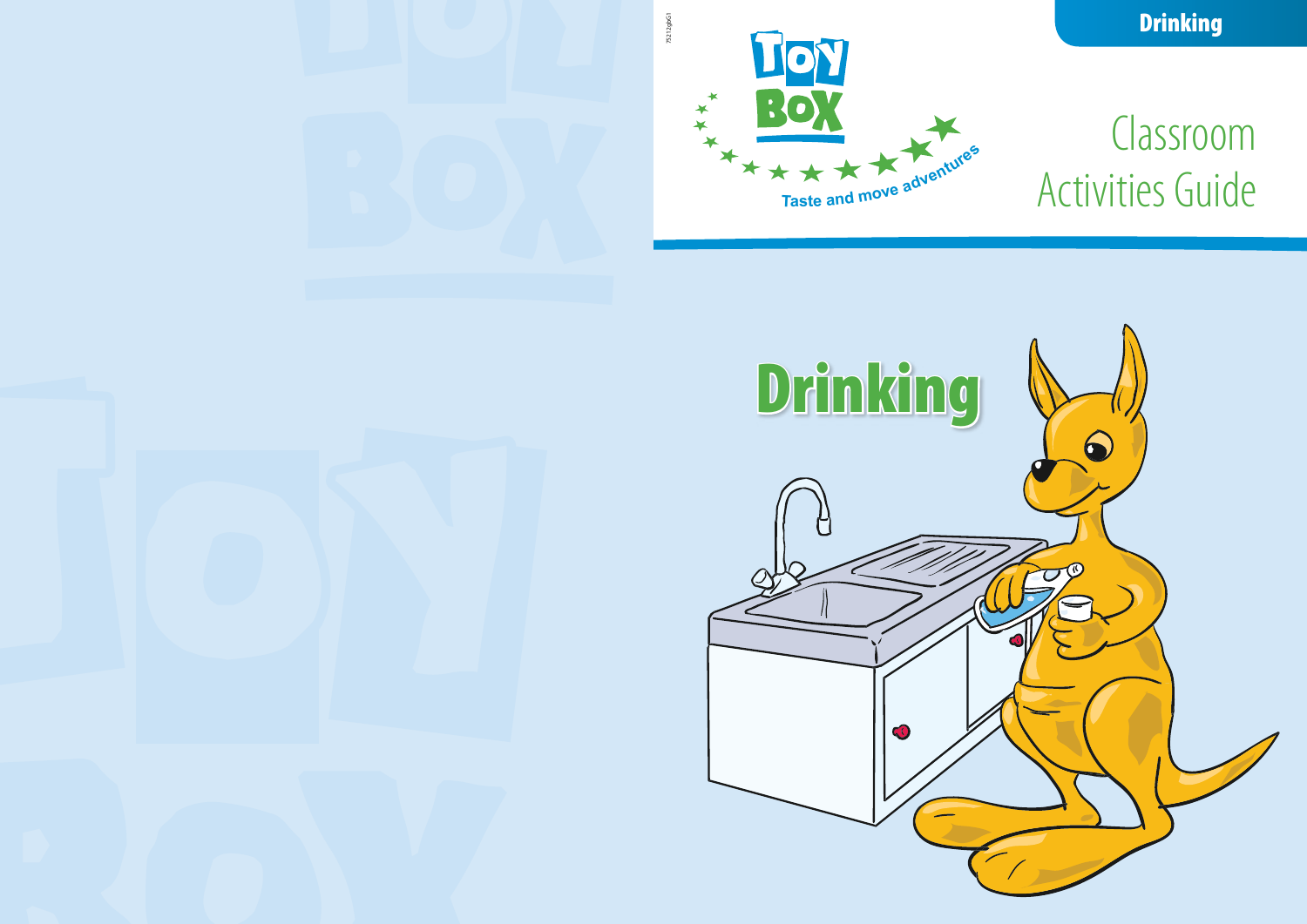# Classroom Activities Guide